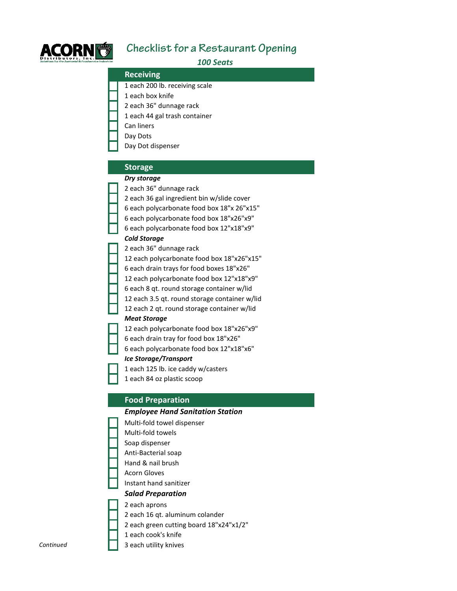

# **Checklist for a Restaurant Opening**

*100 Seats*

#### **Receiving**

1 each 200 lb. receiving scale

- 1 each box knife
- 2 each 36" dunnage rack
- 1 each 44 gal trash container
- Can liners
- Day Dots
- Day Dot dispenser

## **Storage**

## *Dry storage*

- 2 each 36" dunnage rack
- 2 each 36 gal ingredient bin w/slide cover
- 6 each polycarbonate food box 18"x 26"x15"
- 6 each polycarbonate food box 18"x26"x9"
- 6 each polycarbonate food box 12"x18"x9"

## *Cold Storage*

- 2 each 36" dunnage rack
- 12 each polycarbonate food box 18"x26"x15" 6 each drain trays for food boxes 18"x26" 12 each polycarbonate food box 12"x18"x9"
- 6 each 8 qt. round storage container w/lid
- 12 each 3.5 qt. round storage container w/lid
- 12 each 2 qt. round storage container w/lid

## *Meat Storage*

12 each polycarbonate food box 18"x26"x9" 6 each drain tray for food box 18"x26" 6 each polycarbonate food box 12"x18"x6"

## *Ice Storage/Transport*

1 each 125 lb. ice caddy w/casters

1 each 84 oz plastic scoop

## **Food Preparation**

## *Employee Hand Sanitation Station*

- Multi-fold towel dispenser Multi-fold towels Soap dispenser Anti-Bacterial soap Hand & nail brush Acorn Gloves Instant hand sanitizer *Salad Preparation* 2 each aprons
- 2 each 16 qt. aluminum colander
- 2 each green cutting board 18"x24"x1/2"
- 1 each cook's knife
- *Continued* 3 each utility knives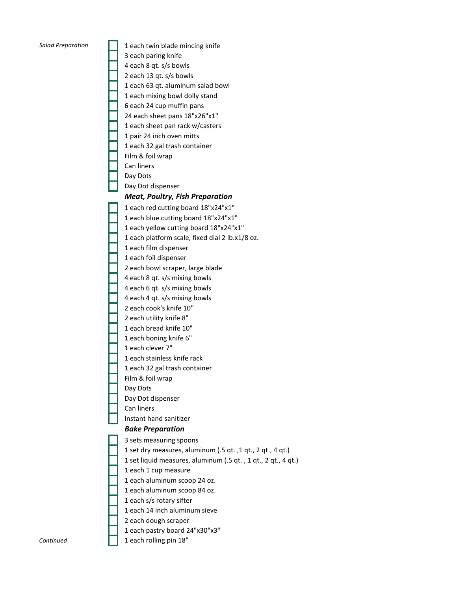*Salad Preparation* 1 each twin blade mincing knife 3 each paring knife 4 each 8 qt. s/s bowls 2 each 13 qt. s/s bowls 1 each 63 qt. aluminum salad bowl 1 each mixing bowl dolly stand 6 each 24 cup muffin pans 24 each sheet pans 18"x26"x1" 1 each sheet pan rack w/casters 1 pair 24 inch oven mitts 1 each 32 gal trash container Film & foil wrap Can liners Day Dots Day Dot dispenser *Meat, Poultry, Fish Preparation* 1 each red cutting board 18"x24"x1" 1 each blue cutting board 18"x24"x1" 1 each yellow cutting board 18"x24"x1" 1 each platform scale, fixed dial 2 lb.x1/8 oz. 1 each film dispenser 1 each foil dispenser 2 each bowl scraper, large blade 4 each 8 qt. s/s mixing bowls 4 each 6 qt. s/s mixing bowls 4 each 4 qt. s/s mixing bowls 2 each cook's knife 10" 2 each utility knife 8" 1 each bread knife 10" 1 each boning knife 6" 1 each clever 7" 1 each stainless knife rack 1 each 32 gal trash container Film & foil wrap Day Dots Day Dot dispenser Can liners Instant hand sanitizer *Bake Preparation* 3 sets measuring spoons 1 set dry measures, aluminum (.5 qt. ,1 qt., 2 qt., 4 qt.) 1 set liquid measures, aluminum (.5 qt. , 1 qt., 2 qt., 4 qt.) 1 each 1 cup measure 1 each aluminum scoop 24 oz. 1 each aluminum scoop 84 oz. 1 each s/s rotary sifter 1 each 14 inch aluminum sieve 2 each dough scraper 1 each pastry board 24"x30"x3" **Continued** 1 each rolling pin 18"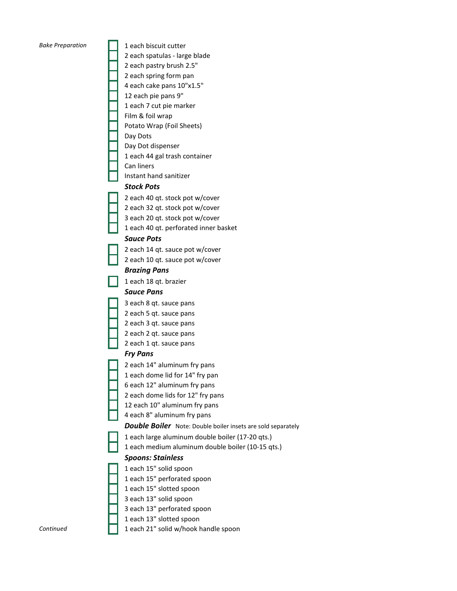*Bake Preparation* 1 each biscuit cutter 2 each spatulas - large blade 2 each pastry brush 2.5" 2 each spring form pan 4 each cake pans 10"x1.5" 12 each pie pans 9" 1 each 7 cut pie marker Film & foil wrap Potato Wrap (Foil Sheets) Day Dots Day Dot dispenser 1 each 44 gal trash container Can liners Instant hand sanitizer *Stock Pots* 2 each 40 qt. stock pot w/cover 2 each 32 qt. stock pot w/cover 3 each 20 qt. stock pot w/cover 1 each 40 qt. perforated inner basket *Sauce Pots* 2 each 14 qt. sauce pot w/cover 2 each 10 qt. sauce pot w/cover *Brazing Pans* 1 each 18 qt. brazier *Sauce Pans* 3 each 8 qt. sauce pans 2 each 5 qt. sauce pans 2 each 3 qt. sauce pans 2 each 2 qt. sauce pans 2 each 1 qt. sauce pans *Fry Pans* 2 each 14" aluminum fry pans 1 each dome lid for 14" fry pan 6 each 12" aluminum fry pans 2 each dome lids for 12" fry pans 12 each 10" aluminum fry pans 4 each 8" aluminum fry pans 1 each large aluminum double boiler (17-20 qts.) 1 each medium aluminum double boiler (10-15 qts.) *Spoons: Stainless* 1 each 15" solid spoon 1 each 15" perforated spoon 1 each 15" slotted spoon 3 each 13" solid spoon 3 each 13" perforated spoon 1 each 13" slotted spoon *Double Boiler* Note: Double boiler insets are sold separately

*Continued* 1 each 21" solid w/hook handle spoon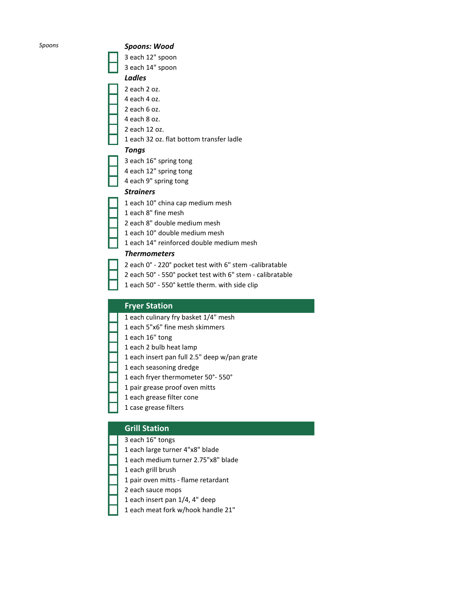#### *Spoons Spoons: Wood*

3 each 12" spoon 3 each 14" spoon

### *Ladles*

- 2 each 2 oz.
- 4 each 4 oz.
- 2 each 6 oz.
- 4 each 8 oz.
- 2 each 12 oz.
- 1 each 32 oz. flat bottom transfer ladle

#### *Tongs*

- 3 each 16" spring tong
- 4 each 12" spring tong
- 4 each 9" spring tong

## *Strainers*

- 1 each 10" china cap medium mesh
- 1 each 8" fine mesh
- 2 each 8" double medium mesh
- 1 each 10" double medium mesh
- 1 each 14" reinforced double medium mesh

#### *Thermometers*

- 2 each 0° 220° pocket test with 6" stem -calibratable
- 2 each 50° 550° pocket test with 6" stem calibratable
- 1 each 50° 550° kettle therm. with side clip

## **Fryer Station**

- 1 each culinary fry basket 1/4" mesh
- 1 each 5"x6" fine mesh skimmers
- 1 each 16" tong
- 1 each 2 bulb heat lamp
- 1 each insert pan full 2.5" deep w/pan grate
- 1 each seasoning dredge
- 1 each fryer thermometer 50°- 550°
- 1 pair grease proof oven mitts
- 1 each grease filter cone
- 1 case grease filters

## **Grill Station**

- 3 each 16" tongs
- 1 each large turner 4"x8" blade
- 1 each medium turner 2.75"x8" blade
- 1 each grill brush
- 1 pair oven mitts flame retardant
- 2 each sauce mops
- 1 each insert pan 1/4, 4" deep
- 1 each meat fork w/hook handle 21"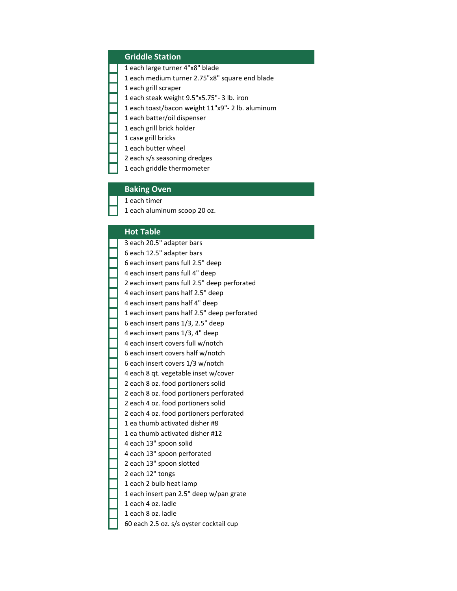## **Griddle Station**

- 1 each large turner 4"x8" blade
- 1 each medium turner 2.75"x8" square end blade
- 1 each grill scraper
- 1 each steak weight 9.5"x5.75"- 3 lb. iron
- 1 each toast/bacon weight 11"x9"- 2 lb. aluminum
- 1 each batter/oil dispenser
- 1 each grill brick holder
- 1 case grill bricks
- 1 each butter wheel
- 2 each s/s seasoning dredges
- 1 each griddle thermometer

#### **Baking Oven**

1 each timer

1 each aluminum scoop 20 oz.

#### **Hot Table**

| 3 each 20.5" adapter bars                    |
|----------------------------------------------|
| 6 each 12.5" adapter bars                    |
| 6 each insert pans full 2.5" deep            |
| 4 each insert pans full 4" deep              |
| 2 each insert pans full 2.5" deep perforated |
| 4 each insert pans half 2.5" deep            |
| 4 each insert pans half 4" deep              |
| 1 each insert pans half 2.5" deep perforated |
| 6 each insert pans 1/3, 2.5" deep            |
| 4 each insert pans 1/3, 4" deep              |
| 4 each insert covers full w/notch            |
| 6 each insert covers half w/notch            |
| 6 each insert covers 1/3 w/notch             |
| 4 each 8 qt. vegetable inset w/cover         |
| 2 each 8 oz. food portioners solid           |
| 2 each 8 oz. food portioners perforated      |
| 2 each 4 oz. food portioners solid           |
| 2 each 4 oz. food portioners perforated      |
| 1 ea thumb activated disher #8               |
| 1 ea thumb activated disher #12              |
| 4 each 13" spoon solid                       |
| 4 each 13" spoon perforated                  |
| 2 each 13" spoon slotted                     |
| 2 each 12" tongs                             |
| 1 each 2 bulb heat lamp                      |
| 1 each insert pan 2.5" deep w/pan grate      |
| 1 each 4 oz. ladle                           |
| 1 each 8 oz. ladle                           |
| 60 each 2.5 oz. s/s oyster cocktail cup      |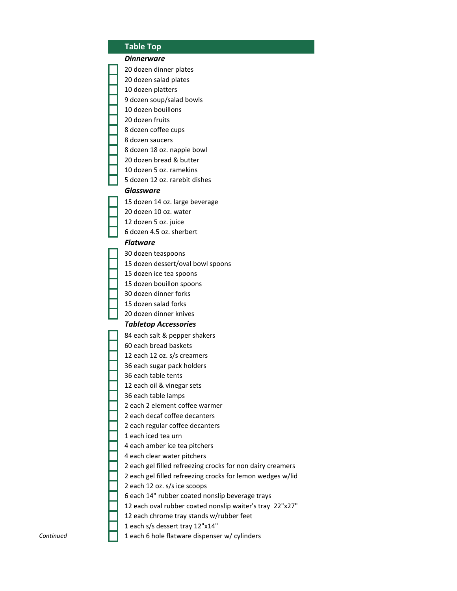#### **Table Top**

#### *Dinnerware*

20 dozen dinner plates

20 dozen salad plates

10 dozen platters

9 dozen soup/salad bowls

10 dozen bouillons

20 dozen fruits

8 dozen coffee cups

8 dozen saucers

8 dozen 18 oz. nappie bowl

20 dozen bread & butter

10 dozen 5 oz. ramekins

5 dozen 12 oz. rarebit dishes

#### *Glassware*

15 dozen 14 oz. large beverage 20 dozen 10 oz. water 12 dozen 5 oz. juice 6 dozen 4.5 oz. sherbert

#### *Flatware*

30 dozen teaspoons 15 dozen dessert/oval bowl spoons 15 dozen ice tea spoons 15 dozen bouillon spoons 30 dozen dinner forks 15 dozen salad forks 20 dozen dinner knives *Tabletop Accessories* 84 each salt & pepper shakers 60 each bread baskets 12 each 12 oz. s/s creamers 36 each sugar pack holders 36 each table tents 12 each oil & vinegar sets 36 each table lamps 2 each 2 element coffee warmer 2 each decaf coffee decanters 2 each regular coffee decanters 1 each iced tea urn 4 each amber ice tea pitchers 4 each clear water pitchers 2 each gel filled refreezing crocks for non dairy creamers 2 each gel filled refreezing crocks for lemon wedges w/lid 2 each 12 oz. s/s ice scoops 6 each 14" rubber coated nonslip beverage trays 12 each oval rubber coated nonslip waiter's tray 22"x27" 12 each chrome tray stands w/rubber feet 1 each s/s dessert tray 12"x14"

*Continued* 1 each 6 hole flatware dispenser w/ cylinders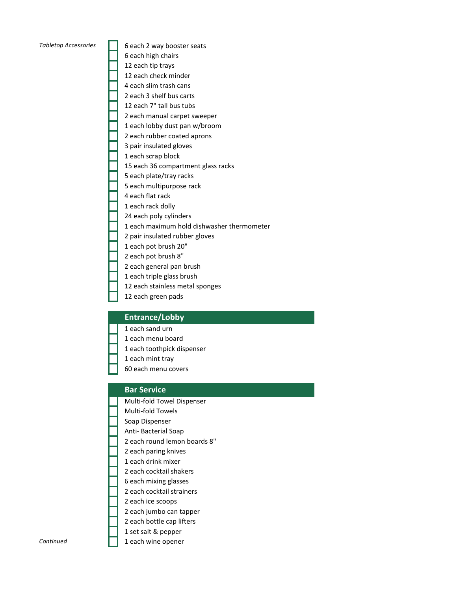*Tabletop Accessories* 6 each 2 way booster seats 6 each high chairs 12 each tip trays 12 each check minder 4 each slim trash cans 2 each 3 shelf bus carts 12 each 7" tall bus tubs 2 each manual carpet sweeper 1 each lobby dust pan w/broom 2 each rubber coated aprons 3 pair insulated gloves 1 each scrap block 15 each 36 compartment glass racks 5 each plate/tray racks 5 each multipurpose rack 4 each flat rack 1 each rack dolly 24 each poly cylinders 1 each maximum hold dishwasher thermometer 2 pair insulated rubber gloves 1 each pot brush 20" 2 each pot brush 8" 2 each general pan brush 1 each triple glass brush 12 each stainless metal sponges 12 each green pads

#### **Entrance/Lobby**

#### 1 each sand urn

- 1 each menu board
- 1 each toothpick dispenser
- 1 each mint tray
- 60 each menu covers

#### **Bar Service**

- Multi-fold Towel Dispenser
- Multi-fold Towels
- Soap Dispenser
- Anti- Bacterial Soap
- 2 each round lemon boards 8"
- 2 each paring knives
- 1 each drink mixer
- 2 each cocktail shakers
- 6 each mixing glasses 2 each cocktail strainers
- 2 each ice scoops
- 
- 2 each jumbo can tapper
- 2 each bottle cap lifters
- 1 set salt & pepper
- **Continued** 1 each wine opener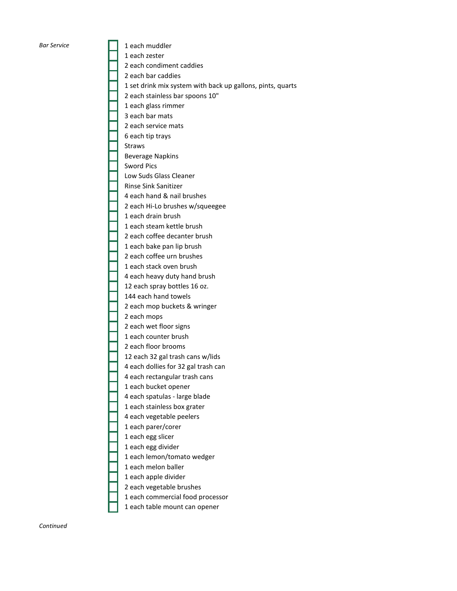**Bar Service** 1 each muddler 1 each zester 2 each condiment caddies 2 each bar caddies 1 set drink mix system with back up gallons, pints, quarts 2 each stainless bar spoons 10" 1 each glass rimmer 3 each bar mats 2 each service mats 6 each tip trays Straws Beverage Napkins Sword Pics Low Suds Glass Cleaner Rinse Sink Sanitizer 4 each hand & nail brushes 2 each Hi-Lo brushes w/squeegee 1 each drain brush 1 each steam kettle brush 2 each coffee decanter brush 1 each bake pan lip brush 2 each coffee urn brushes 1 each stack oven brush 4 each heavy duty hand brush 12 each spray bottles 16 oz. 144 each hand towels 2 each mop buckets & wringer 2 each mops 2 each wet floor signs 1 each counter brush 2 each floor brooms 12 each 32 gal trash cans w/lids 4 each dollies for 32 gal trash can 4 each rectangular trash cans 1 each bucket opener 4 each spatulas - large blade 1 each stainless box grater 4 each vegetable peelers 1 each parer/corer 1 each egg slicer 1 each egg divider 1 each lemon/tomato wedger 1 each melon baller 1 each apple divider 2 each vegetable brushes 1 each commercial food processor 1 each table mount can opener

*Continued*